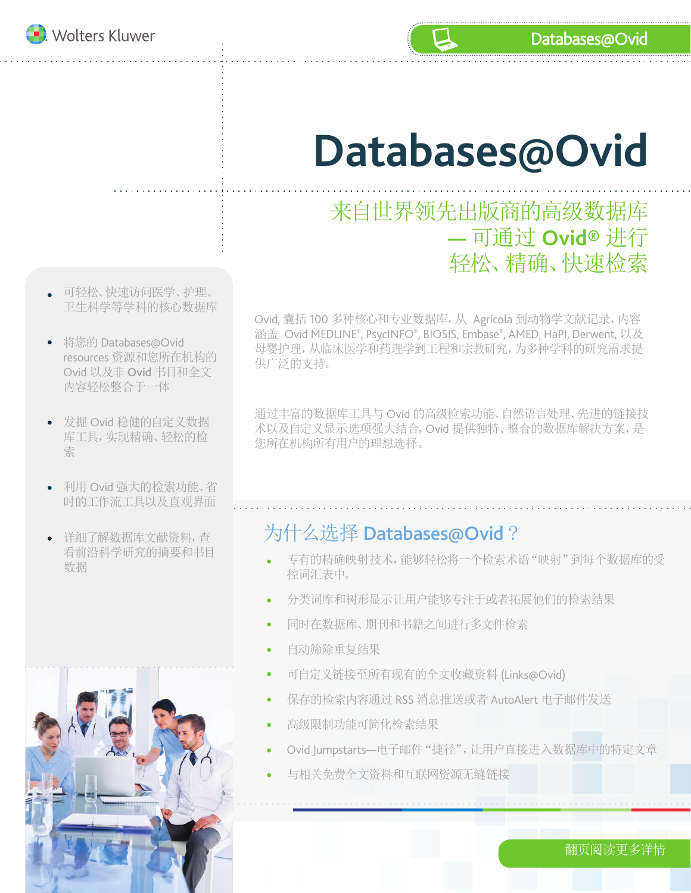

# **Databases@Ovid**

## 来自世界领先出版商的高级数据库 **—** 可通过 **Ovid®** 进行 轻松、精确、快速检索

- 可轻松、快速访问医学、护理、 卫生科学等学科的核心数据库
- 将您的 Databases@Ovid resources 资源和您所在机构的 Ovid 以及非 Ovid 书目和全文 内容轻松整合于一体
- 发掘 Ovid 稳健的自定义数据 库工具,实现精确、轻松的检 索
- 利用 Ovid 强大的检索功能、省 时的工作流工具以及直观界面
- 详细了解数据库文献资料,查 看前沿科学研究的摘要和书目

Ovid, 囊括 100 多种核心和专业数据库,从 Agricola 到动物学文献记录,内容 涵盖 Ovid MEDLINE®, PsycINFO®, BIOSIS, Embase®, AMED, HaPI, Derwent, 以及 母婴护理,从临床医学和药理学到工程和宗教研究,为多种学科的研究需求提 供广泛的支持。

通过丰富的数据库工具与 Ovid 的高级检索功能、自然语言处理、先进的链接技 术以及自定义显示选项强大结合,Ovid 提供独特、整合的数据库解决方案,是 您所在机构所有用户的理想选择。

#### 为什么选择 Databases@Ovid ?

- 有即位性子则九的狗女性卫旦 专有的精确映射技术,能够轻松将一个检索术语"映射"到每个数据库的受 控词汇表中。
	- 分类词库和树形显示让用户能够专注于或者拓展他们的检索结果
	- 同时在数据库、期刊和书籍之间进行多文件检索
	- 自动筛除重复结果  $\bullet$
	- 可自定义链接至所有现有的全文收藏资料 (Links@Ovid)
	- 保存的检索内容通过 RSS 消息推送或者 AutoAlert 电子邮件发送
	- 高级限制功能可简化检索结果
	- Ovid Jumpstarts—电子邮件"捷径",让用户直接进入数据库中的特定文章
	- 与相关免费全文资料和互联网资源无缝链接

翻页阅读更多详情